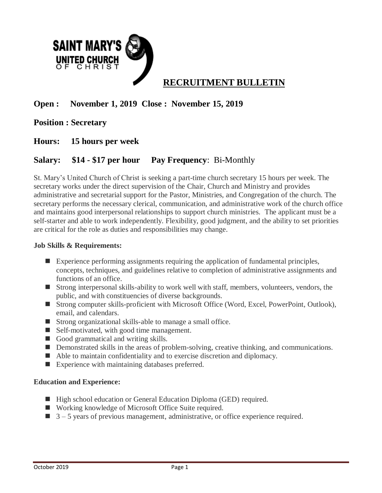

# **Open : November 1, 2019 Close : November 15, 2019**

# **Position : Secretary**

### **Hours: 15 hours per week**

# **Salary: \$14 - \$17 per hour Pay Frequency**: Bi-Monthly

St. Mary's United Church of Christ is seeking a part-time church secretary 15 hours per week. The secretary works under the direct supervision of the Chair, Church and Ministry and provides administrative and secretarial support for the Pastor, Ministries, and Congregation of the church. The secretary performs the necessary clerical, communication, and administrative work of the church office and maintains good interpersonal relationships to support church ministries. The applicant must be a self-starter and able to work independently. Flexibility, good judgment, and the ability to set priorities are critical for the role as duties and responsibilities may change.

#### **Job Skills & Requirements:**

- Experience performing assignments requiring the application of fundamental principles, concepts, techniques, and guidelines relative to completion of administrative assignments and functions of an office.
- Strong interpersonal skills-ability to work well with staff, members, volunteers, vendors, the public, and with constituencies of diverse backgrounds.
- Strong computer skills-proficient with Microsoft Office (Word, Excel, PowerPoint, Outlook), email, and calendars.
- Strong organizational skills-able to manage a small office.
- Self-motivated, with good time management.
- Good grammatical and writing skills.
- Demonstrated skills in the areas of problem-solving, creative thinking, and communications.
- Able to maintain confidentiality and to exercise discretion and diplomacy.
- Experience with maintaining databases preferred.

#### **Education and Experience:**

- High school education or General Education Diploma (GED) required.
- Working knowledge of Microsoft Office Suite required.
- $\Box$  3 5 years of previous management, administrative, or office experience required.